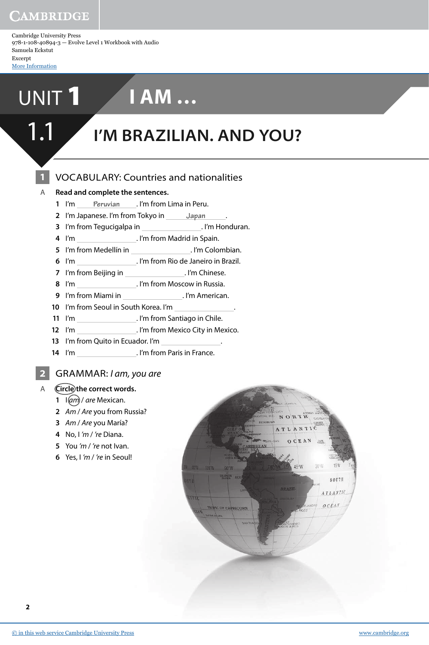Cambridge University Press 978-1-108-40894-3 — Evolve Level 1 Workbook with Audio Samuela Eckstut Excerpt [More Information](www.cambridge.org/9781108408943)

# UNIT 1 **I AM …**

# 1.1 **I'M BRAZILIAN. AND YOU?**

## VOCABULARY: Countries and nationalities

#### A **Read and complete the sentences.**

- I'm **Peruvian** . I'm from Lima in Peru.
- I'm Japanese. I'm from Tokyo in **Japan** .
- I'm from Tegucigalpa in . I'm Honduran.
- I'm . I'm from Madrid in Spain.
- I'm from Medellín in . I'm Colombian.
- I'm . I'm from Rio de Janeiro in Brazil.
- I'm from Beijing in . I'm Chinese.
- I'm . I'm from Moscow in Russia.
- I'm from Miami in . I'm American.
- I'm from Seoul in South Korea. I'm .
- I'm . I'm from Santiago in Chile.
- I'm . I'm from Mexico City in Mexico.
- I'm from Quito in Ecuador. I'm .
- I'm **I'm ... I'm from Paris in France.**

### GRAMMAR: I am, you are

- A **Circle the correct words.**
	- I(am) / are Mexican.
	- Am / Are you from Russia?
	- Am / Are you María?
	- No, I 'm / 're Diana.
	- You 'm / 're not Ivan.
	- Yes, I 'm / 're in Seoul!

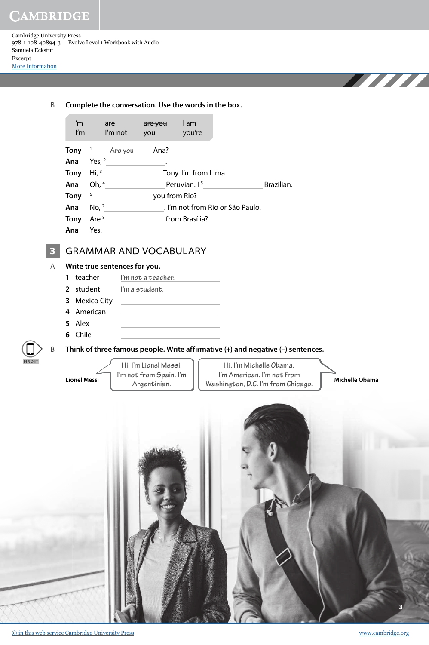Cambridge University Press 978-1-108-40894-3 — Evolve Level 1 Workbook with Audio Samuela Eckstut Excerpt [More Information](www.cambridge.org/9781108408943)

 B **Complete the conversation. Use the words in the box.** 'm are are you I am I'm I'm not you you're **Tony** <sup>1</sup> **Are you** Ana? **Ana** Yes, <sup>2</sup> . **Tony** Hi, <sup>3</sup> Tony. I'm from Lima. **Ana** Oh, <sup>4</sup> Peruvian. I<sup>5</sup> Brazilian. **Tony** <sup>6</sup> you from Rio? **Ana** No, <sup>7</sup> . I'm not from Rio or São Paulo. **Tony** Are <sup>8</sup> from Brasília? **Ana** Yes. **3** GRAMMAR AND VOCABULARY A **Write true sentences for you. 1** teacher **I'm not a teacher. 2** student **I'm a student. 3** Mexico City **4** American **5** Alex **6** Chile B **Think of three famous people. Write affirmative (+) and negative (–) sentences. Hi. I'm Michelle Obama. I'm American. I'm not from Washington, D.C. I'm from Chicago. Argentinian. Lionel Messi Michelle Obama Hi. I'm Lionel Messi. I'm not from Spain. I'm FIND IT**

**3**

THE THE TELEVISION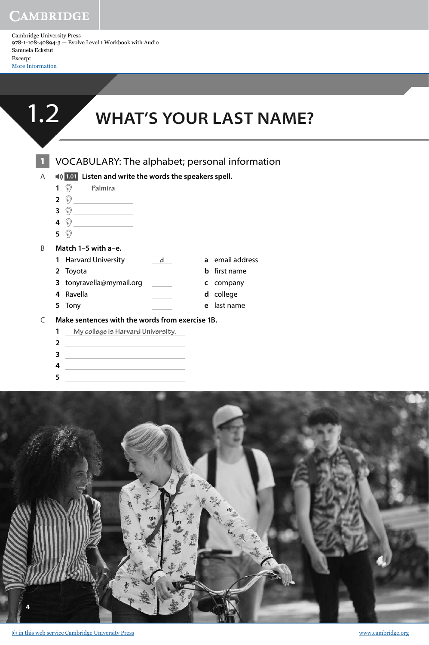Cambridge University Press 978-1-108-40894-3 — Evolve Level 1 Workbook with Audio Samuela Eckstut Excerpt [More Information](www.cambridge.org/9781108408943)



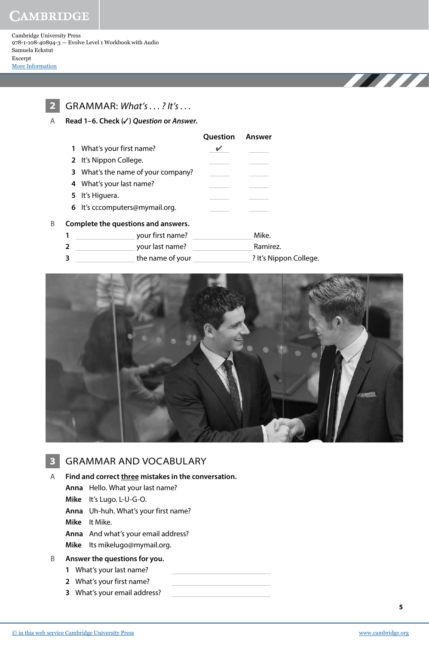Cambridge University Press 978-1-108-40894-3 — Evolve Level 1 Workbook with Audio Samuela Eckstut Excerpt [More Information](www.cambridge.org/9781108408943)



**2** GRAMMAR: What's . . . ? It's . . .

A **Read 1–6. Check (**✓**) Question or Answer.** 

|                                    | <b>Question Answer</b> |  |
|------------------------------------|------------------------|--|
| 1 What's your first name?          |                        |  |
| 2 It's Nippon College.             |                        |  |
| 3 What's the name of your company? |                        |  |
| 4 What's your last name?           |                        |  |
| 5 It's Higuera.                    |                        |  |
| 6 It's cccomputers@mymail.org.     |                        |  |
|                                    |                        |  |

#### B **Complete the questions and answers.**

**1** your first name? Mike. **2** your last name? Ramirez. **3** the name of your ? It's Nippon College.



### **3** GRAMMAR AND VOCABULARY

A **Find and correct three mistakes in the conversation.**

- **Anna** Hello. What your last name?
- **Mike** It's Lugo. L-U-G-O.
- **Anna** Uh-huh. What's your first name?

**Mike** It Mike.

- **Anna** And what's your email address?
- **Mike** Its mikelugo@mymail.org.

#### B **Answer the questions for you.**

- **1** What's your last name?
- **2** What's your first name?
- **3** What's your email address?

**THE REAL PROPERTY**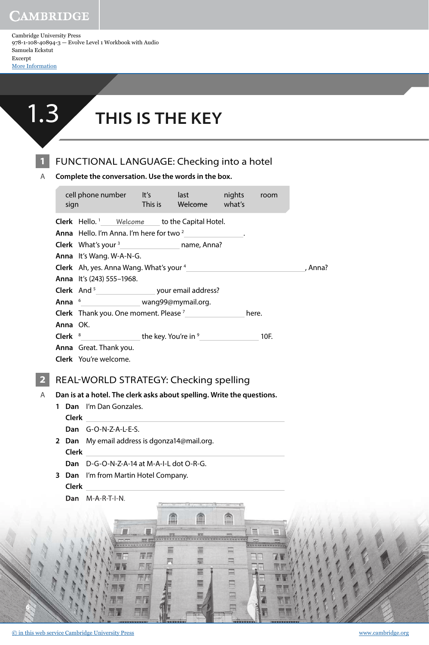Cambridge University Press 978-1-108-40894-3 — Evolve Level 1 Workbook with Audio Samuela Eckstut Excerpt [More Information](www.cambridge.org/9781108408943)



# **1.3** THIS IS THE KEY

**1** FUNCTIONAL LANGUAGE: Checking into a hotel

A **Complete the conversation. Use the words in the box.**

|   | sign | cell phone number lt's last nights room<br><b>Example 2018</b> This is a threatened what's |  |  |  |         |
|---|------|--------------------------------------------------------------------------------------------|--|--|--|---------|
|   |      | <b>Clerk</b> Hello. <sup>1</sup> Welcome to the Capital Hotel.                             |  |  |  |         |
|   |      | Anna Hello. I'm Anna. I'm here for two <sup>2</sup>                                        |  |  |  |         |
|   |      | Clerk What's your <sup>3</sup> <sub>1111</sub> mame, Anna?                                 |  |  |  |         |
|   |      | Anna It's Wang. W-A-N-G.                                                                   |  |  |  |         |
|   |      |                                                                                            |  |  |  | , Anna? |
|   |      | Anna It's (243) 555-1968.                                                                  |  |  |  |         |
|   |      |                                                                                            |  |  |  |         |
|   |      | Anna <sup>6</sup> __________________ wang99@mymail.org.                                    |  |  |  |         |
|   |      | <b>Clerk</b> Thank you. One moment. Please $7$ here.                                       |  |  |  |         |
|   |      | Anna OK.                                                                                   |  |  |  |         |
|   |      |                                                                                            |  |  |  |         |
|   |      | Anna Great. Thank you.                                                                     |  |  |  |         |
|   |      | Clerk You're welcome.                                                                      |  |  |  |         |
|   |      | REAL-WORLD STRATEGY: Checking spelling                                                     |  |  |  |         |
| A |      | Dan is at a hotel. The clerk asks about spelling. Write the questions.                     |  |  |  |         |
|   |      | 1 Dan I'm Dan Gonzales.                                                                    |  |  |  |         |

Ô

 $\Box$ 

 $\Box$ 

 $\Box$ 

 $\Box$ 

 $\Box$ 

 $\overline{A}$ 

**Clerk**

**Dan** G-O-N-Z-A-L-E-S.

**2 Dan** My email address is dgonza14@mail.org. **Clerk** 

**Dan** D-G-O-N-Z-A-14 at M-A-I-L dot O-R-G.

≣

屏屏

原属

元王

州月

77 用者

ſ

昌

貝

£

團

票

酉

**3 Dan** I'm from Martin Hotel Company. **Clerk** 

**Dan** M-A-R-T-I-N.

**6**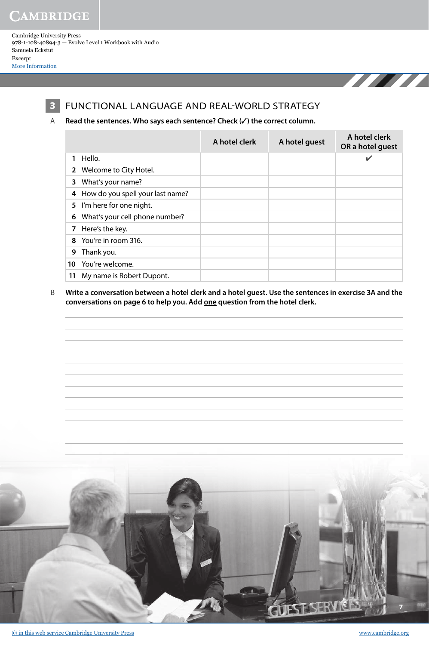Cambridge University Press 978-1-108-40894-3 — Evolve Level 1 Workbook with Audio Samuela Eckstut Excerpt [More Information](www.cambridge.org/9781108408943)



### **3** FUNCTIONAL LANGUAGE AND REAL-WORLD STRATEGY

#### A **Read the sentences. Who says each sentence? Check (**✓**) the correct column.**

|    |                                  | A hotel clerk | A hotel guest | A hotel clerk<br>OR a hotel guest |
|----|----------------------------------|---------------|---------------|-----------------------------------|
|    | Hello.                           |               |               | $\checkmark$                      |
|    | 2 Welcome to City Hotel.         |               |               |                                   |
| 3. | What's your name?                |               |               |                                   |
| 4  | How do you spell your last name? |               |               |                                   |
|    | 5 I'm here for one night.        |               |               |                                   |
| 6  | What's your cell phone number?   |               |               |                                   |
|    | 7 Here's the key.                |               |               |                                   |
| 8  | You're in room 316.              |               |               |                                   |
| 9  | Thank you.                       |               |               |                                   |
| 10 | You're welcome.                  |               |               |                                   |
| 11 | My name is Robert Dupont.        |               |               |                                   |

 B **Write a conversation between a hotel clerk and a hotel guest. Use the sentences in exercise 3A and the conversations on page 6 to help you. Add one question from the hotel clerk.**



THE TELEVISION NEWSFILM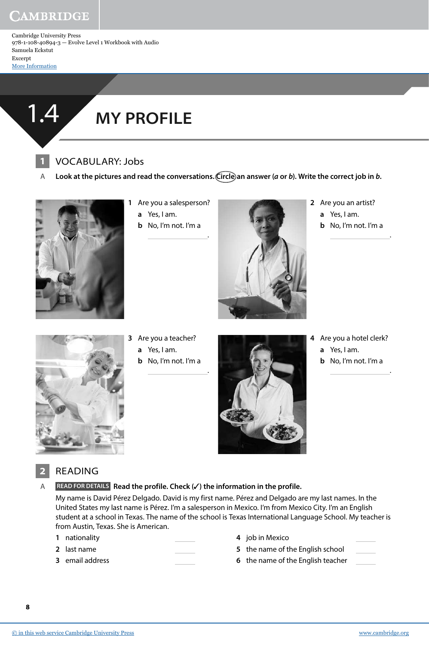Cambridge University Press 978-1-108-40894-3 — Evolve Level 1 Workbook with Audio Samuela Eckstut Excerpt [More Information](www.cambridge.org/9781108408943)



# 1.4 **MY PROFILE**

## **1** VOCABULARY: Jobs

A Look at the pictures and read the conversations. Circle an answer (*a* or *b*). Write the correct job in *b*.

.

.



- **1** Are you a salesperson? **a** Yes, I am.
	- **b** No, I'm not. I'm a



- **2** Are you an artist?
	- **a** Yes, I am.
	- **b** No, I'm not. I'm a

.

.



- **3** Are you a teacher?
	- **a** Yes, I am.
	- **b** No, I'm not. I'm a



- **4** Are you a hotel clerk? **a** Yes, I am.
	- **b** No, I'm not. I'm a



## **2** READING

A **READ FOR DETAILS Read the profile. Check (**✓**) the information in the profile.**

My name is David Pérez Delgado. David is my first name. Pérez and Delgado are my last names. In the United States my last name is Pérez. I'm a salesperson in Mexico. I'm from Mexico City. I'm an English student at a school in Texas. The name of the school is Texas International Language School. My teacher is from Austin, Texas. She is American.

- **1** nationality
- **2** last name
- **3** email address
- **4** job in Mexico
- **5** the name of the English school
- **6** the name of the English teacher